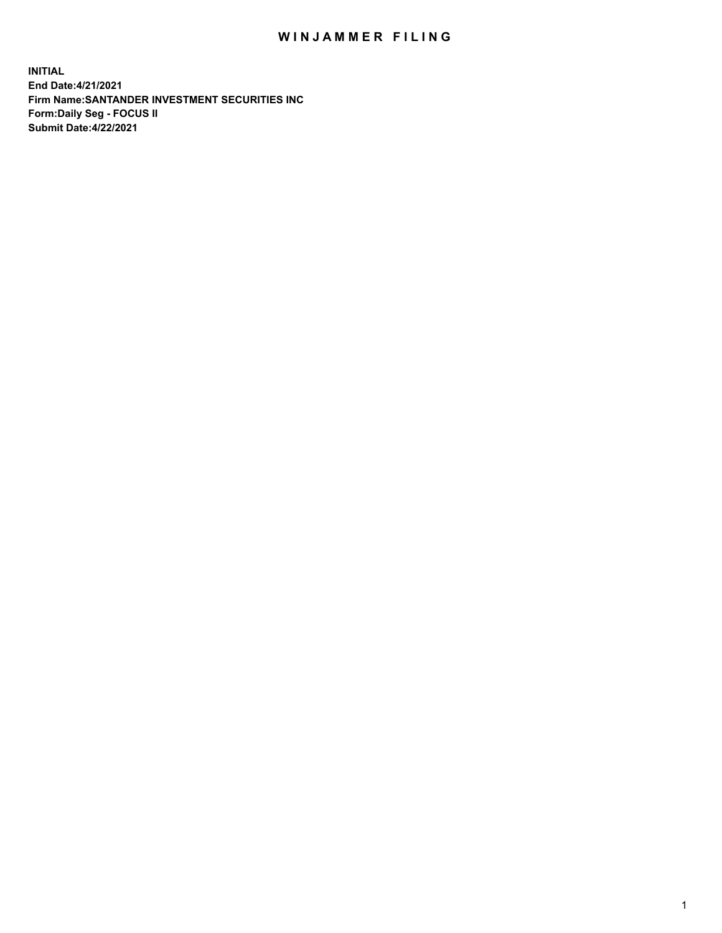## WIN JAMMER FILING

**INITIAL End Date:4/21/2021 Firm Name:SANTANDER INVESTMENT SECURITIES INC Form:Daily Seg - FOCUS II Submit Date:4/22/2021**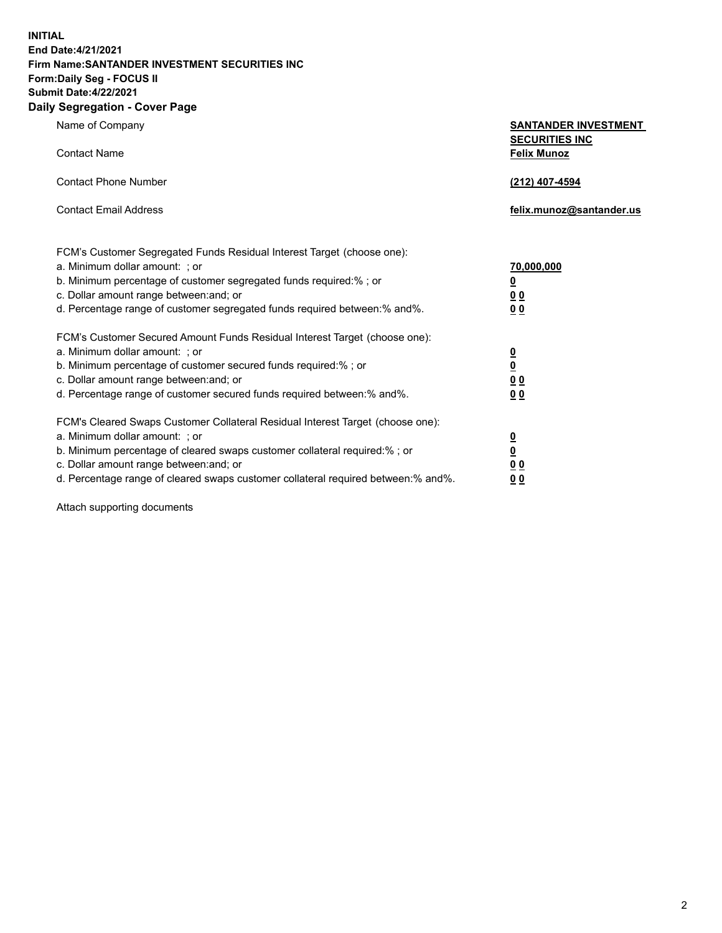**INITIAL End Date:4/21/2021 Firm Name:SANTANDER INVESTMENT SECURITIES INC Form:Daily Seg - FOCUS II Submit Date:4/22/2021 Daily Segregation - Cover Page**

| Name of Company                                                                   | <b>SANTANDER INVESTMENT</b><br><b>SECURITIES INC</b> |
|-----------------------------------------------------------------------------------|------------------------------------------------------|
| <b>Contact Name</b>                                                               | <b>Felix Munoz</b>                                   |
| <b>Contact Phone Number</b>                                                       | (212) 407-4594                                       |
| <b>Contact Email Address</b>                                                      | felix.munoz@santander.us                             |
| FCM's Customer Segregated Funds Residual Interest Target (choose one):            |                                                      |
| a. Minimum dollar amount: ; or                                                    | 70,000,000                                           |
| b. Minimum percentage of customer segregated funds required:%; or                 | <u>0</u>                                             |
| c. Dollar amount range between: and; or                                           | 0 <sub>0</sub>                                       |
| d. Percentage range of customer segregated funds required between:% and%.         | 0 <sub>0</sub>                                       |
| FCM's Customer Secured Amount Funds Residual Interest Target (choose one):        |                                                      |
| a. Minimum dollar amount: ; or                                                    | $\frac{0}{0}$                                        |
| b. Minimum percentage of customer secured funds required:%; or                    |                                                      |
| c. Dollar amount range between: and; or                                           | 0 <sub>0</sub>                                       |
| d. Percentage range of customer secured funds required between:% and%.            | 0 <sub>0</sub>                                       |
| FCM's Cleared Swaps Customer Collateral Residual Interest Target (choose one):    |                                                      |
| a. Minimum dollar amount: ; or                                                    | $\overline{\mathbf{0}}$                              |
| b. Minimum percentage of cleared swaps customer collateral required:% ; or        | $\underline{\mathbf{0}}$                             |
| c. Dollar amount range between: and; or                                           | 0 <sub>0</sub>                                       |
| d. Percentage range of cleared swaps customer collateral required between:% and%. | <u>00</u>                                            |

Attach supporting documents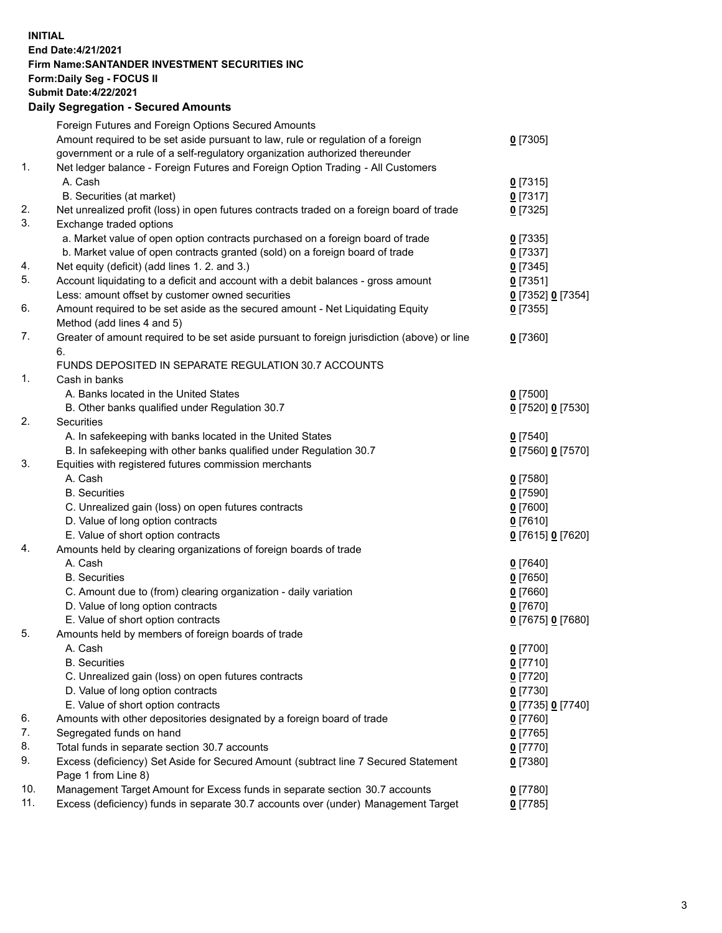**INITIAL End Date:4/21/2021 Firm Name:SANTANDER INVESTMENT SECURITIES INC Form:Daily Seg - FOCUS II Submit Date:4/22/2021 Daily Segregation - Secured Amounts**

|     | Foreign Futures and Foreign Options Secured Amounts                                         |                   |
|-----|---------------------------------------------------------------------------------------------|-------------------|
|     | Amount required to be set aside pursuant to law, rule or regulation of a foreign            | $0$ [7305]        |
|     | government or a rule of a self-regulatory organization authorized thereunder                |                   |
| 1.  | Net ledger balance - Foreign Futures and Foreign Option Trading - All Customers             |                   |
|     | A. Cash                                                                                     | $0$ [7315]        |
|     | B. Securities (at market)                                                                   | $0$ [7317]        |
| 2.  | Net unrealized profit (loss) in open futures contracts traded on a foreign board of trade   | $0$ [7325]        |
| 3.  | Exchange traded options                                                                     |                   |
|     | a. Market value of open option contracts purchased on a foreign board of trade              | $0$ [7335]        |
|     | b. Market value of open contracts granted (sold) on a foreign board of trade                | $0$ [7337]        |
| 4.  | Net equity (deficit) (add lines 1. 2. and 3.)                                               | $0$ [7345]        |
| 5.  | Account liquidating to a deficit and account with a debit balances - gross amount           | $0$ [7351]        |
|     | Less: amount offset by customer owned securities                                            | 0 [7352] 0 [7354] |
| 6.  | Amount required to be set aside as the secured amount - Net Liquidating Equity              | $0$ [7355]        |
|     | Method (add lines 4 and 5)                                                                  |                   |
| 7.  | Greater of amount required to be set aside pursuant to foreign jurisdiction (above) or line | $0$ [7360]        |
|     | 6.                                                                                          |                   |
|     | FUNDS DEPOSITED IN SEPARATE REGULATION 30.7 ACCOUNTS                                        |                   |
| 1.  | Cash in banks                                                                               |                   |
|     | A. Banks located in the United States                                                       | $0$ [7500]        |
|     | B. Other banks qualified under Regulation 30.7                                              | 0 [7520] 0 [7530] |
| 2.  | <b>Securities</b>                                                                           |                   |
|     | A. In safekeeping with banks located in the United States                                   | $0$ [7540]        |
|     | B. In safekeeping with other banks qualified under Regulation 30.7                          | 0 [7560] 0 [7570] |
| 3.  | Equities with registered futures commission merchants                                       |                   |
|     | A. Cash                                                                                     | $0$ [7580]        |
|     | <b>B.</b> Securities                                                                        | $0$ [7590]        |
|     | C. Unrealized gain (loss) on open futures contracts                                         | $0$ [7600]        |
|     | D. Value of long option contracts                                                           | $0$ [7610]        |
|     | E. Value of short option contracts                                                          | 0 [7615] 0 [7620] |
| 4.  | Amounts held by clearing organizations of foreign boards of trade                           |                   |
|     | A. Cash                                                                                     | $0$ [7640]        |
|     | <b>B.</b> Securities                                                                        | $0$ [7650]        |
|     | C. Amount due to (from) clearing organization - daily variation                             | $0$ [7660]        |
|     | D. Value of long option contracts                                                           | $0$ [7670]        |
|     | E. Value of short option contracts                                                          | 0 [7675] 0 [7680] |
| 5.  | Amounts held by members of foreign boards of trade                                          |                   |
|     | A. Cash                                                                                     | 0 [7700]          |
|     | <b>B.</b> Securities                                                                        | $0$ [7710]        |
|     | C. Unrealized gain (loss) on open futures contracts                                         | $0$ [7720]        |
|     | D. Value of long option contracts                                                           | $0$ [7730]        |
|     | E. Value of short option contracts                                                          | 0 [7735] 0 [7740] |
| 6.  | Amounts with other depositories designated by a foreign board of trade                      | $0$ [7760]        |
| 7.  | Segregated funds on hand                                                                    | $0$ [7765]        |
| 8.  | Total funds in separate section 30.7 accounts                                               | $0$ [7770]        |
| 9.  | Excess (deficiency) Set Aside for Secured Amount (subtract line 7 Secured Statement         | $0$ [7380]        |
|     | Page 1 from Line 8)                                                                         |                   |
| 10. | Management Target Amount for Excess funds in separate section 30.7 accounts                 | $0$ [7780]        |
| 11. | Excess (deficiency) funds in separate 30.7 accounts over (under) Management Target          | $0$ [7785]        |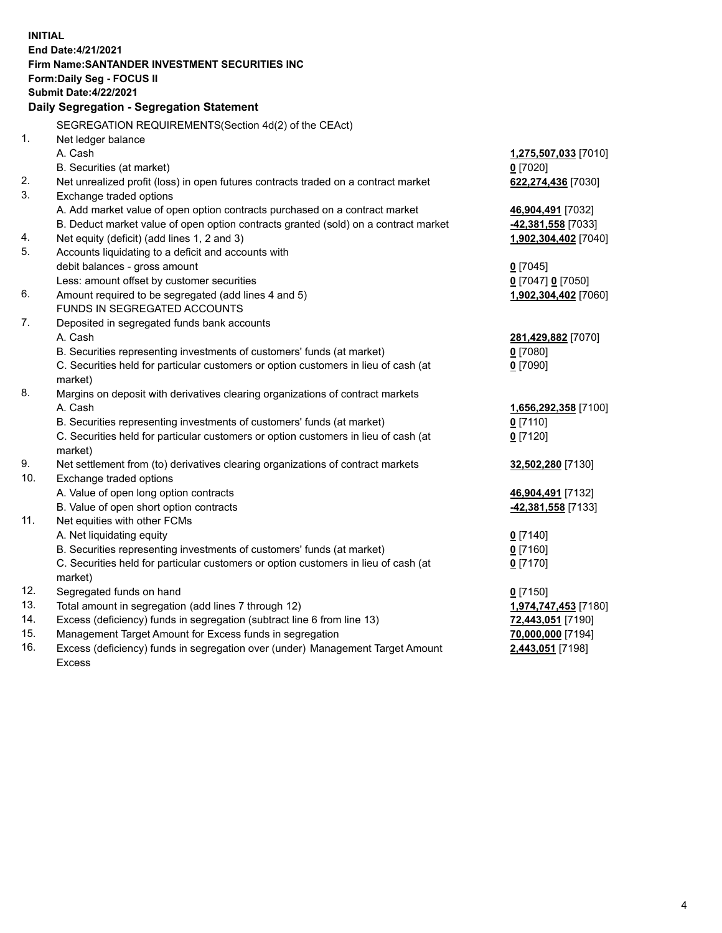|     | <b>INITIAL</b>                                                                                                                                                |                      |
|-----|---------------------------------------------------------------------------------------------------------------------------------------------------------------|----------------------|
|     | End Date: 4/21/2021                                                                                                                                           |                      |
|     | Firm Name: SANTANDER INVESTMENT SECURITIES INC                                                                                                                |                      |
|     | Form: Daily Seg - FOCUS II                                                                                                                                    |                      |
|     | <b>Submit Date:4/22/2021</b>                                                                                                                                  |                      |
|     | Daily Segregation - Segregation Statement                                                                                                                     |                      |
|     | SEGREGATION REQUIREMENTS(Section 4d(2) of the CEAct)                                                                                                          |                      |
| 1.  | Net ledger balance                                                                                                                                            |                      |
|     | A. Cash                                                                                                                                                       | 1,275,507,033 [7010] |
|     | B. Securities (at market)                                                                                                                                     | $0$ [7020]           |
| 2.  | Net unrealized profit (loss) in open futures contracts traded on a contract market                                                                            | 622,274,436 [7030]   |
| 3.  | Exchange traded options                                                                                                                                       |                      |
|     | A. Add market value of open option contracts purchased on a contract market                                                                                   | 46,904,491 [7032]    |
|     | B. Deduct market value of open option contracts granted (sold) on a contract market                                                                           | 42,381,558 [7033]    |
| 4.  | Net equity (deficit) (add lines 1, 2 and 3)                                                                                                                   | 1,902,304,402 [7040] |
| 5.  | Accounts liquidating to a deficit and accounts with                                                                                                           |                      |
|     | debit balances - gross amount                                                                                                                                 | $0$ [7045]           |
|     | Less: amount offset by customer securities                                                                                                                    | 0 [7047] 0 [7050]    |
| 6.  | Amount required to be segregated (add lines 4 and 5)                                                                                                          | 1,902,304,402 [7060] |
|     | FUNDS IN SEGREGATED ACCOUNTS                                                                                                                                  |                      |
| 7.  | Deposited in segregated funds bank accounts                                                                                                                   |                      |
|     | A. Cash                                                                                                                                                       | 281,429,882 [7070]   |
|     | B. Securities representing investments of customers' funds (at market)                                                                                        | $0$ [7080]           |
|     | C. Securities held for particular customers or option customers in lieu of cash (at                                                                           | $0$ [7090]           |
|     | market)                                                                                                                                                       |                      |
| 8.  | Margins on deposit with derivatives clearing organizations of contract markets                                                                                |                      |
|     | A. Cash                                                                                                                                                       | 1,656,292,358 [7100] |
|     | B. Securities representing investments of customers' funds (at market)                                                                                        | $0$ [7110]           |
|     | C. Securities held for particular customers or option customers in lieu of cash (at                                                                           | $0$ [7120]           |
|     | market)                                                                                                                                                       |                      |
| 9.  | Net settlement from (to) derivatives clearing organizations of contract markets                                                                               | 32,502,280 [7130]    |
| 10. | Exchange traded options                                                                                                                                       |                      |
|     | A. Value of open long option contracts                                                                                                                        | 46,904,491 [7132]    |
|     | B. Value of open short option contracts                                                                                                                       | 42,381,558 [7133]    |
| 11. | Net equities with other FCMs                                                                                                                                  |                      |
|     | A. Net liquidating equity                                                                                                                                     | $0$ [7140]           |
|     | B. Securities representing investments of customers' funds (at market)<br>C. Securities held for particular customers or option customers in lieu of cash (at | $0$ [7160]           |
|     |                                                                                                                                                               | $0$ [7170]           |
| 12. | market)<br>Segregated funds on hand                                                                                                                           | $0$ [7150]           |
| 13. | Total amount in segregation (add lines 7 through 12)                                                                                                          | 1,974,747,453 [7180] |
| 14. | Excess (deficiency) funds in segregation (subtract line 6 from line 13)                                                                                       | 72,443,051 [7190]    |
| 15. | Management Target Amount for Excess funds in segregation                                                                                                      | 70,000,000 [7194]    |
| 16. | Excess (deficiency) funds in segregation over (under) Management Target Amount                                                                                | 2,443,051 [7198]     |
|     | Excess                                                                                                                                                        |                      |